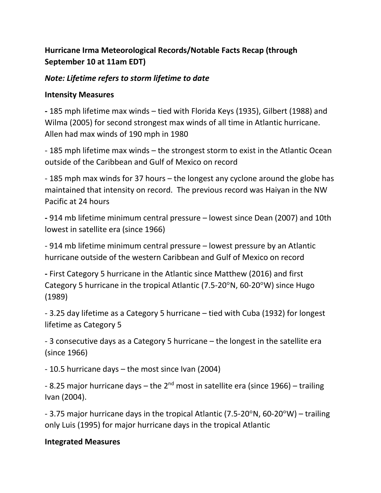# **Hurricane Irma Meteorological Records/Notable Facts Recap (through September 10 at 11am EDT)**

# *Note: Lifetime refers to storm lifetime to date*

### **Intensity Measures**

**-** 185 mph lifetime max winds – tied with Florida Keys (1935), Gilbert (1988) and Wilma (2005) for second strongest max winds of all time in Atlantic hurricane. Allen had max winds of 190 mph in 1980

- 185 mph lifetime max winds – the strongest storm to exist in the Atlantic Ocean outside of the Caribbean and Gulf of Mexico on record

- 185 mph max winds for 37 hours – the longest any cyclone around the globe has maintained that intensity on record. The previous record was Haiyan in the NW Pacific at 24 hours

**-** 914 mb lifetime minimum central pressure – lowest since Dean (2007) and 10th lowest in satellite era (since 1966)

- 914 mb lifetime minimum central pressure – lowest pressure by an Atlantic hurricane outside of the western Caribbean and Gulf of Mexico on record

**-** First Category 5 hurricane in the Atlantic since Matthew (2016) and first Category 5 hurricane in the tropical Atlantic (7.5-20°N, 60-20°W) since Hugo (1989)

- 3.25 day lifetime as a Category 5 hurricane – tied with Cuba (1932) for longest lifetime as Category 5

- 3 consecutive days as a Category 5 hurricane – the longest in the satellite era (since 1966)

- 10.5 hurricane days – the most since Ivan (2004)

- 8.25 major hurricane days – the 2<sup>nd</sup> most in satellite era (since 1966) – trailing Ivan (2004).

- 3.75 major hurricane days in the tropical Atlantic (7.5-20 $\textdegree$ N, 60-20 $\textdegree$ W) – trailing only Luis (1995) for major hurricane days in the tropical Atlantic

#### **Integrated Measures**